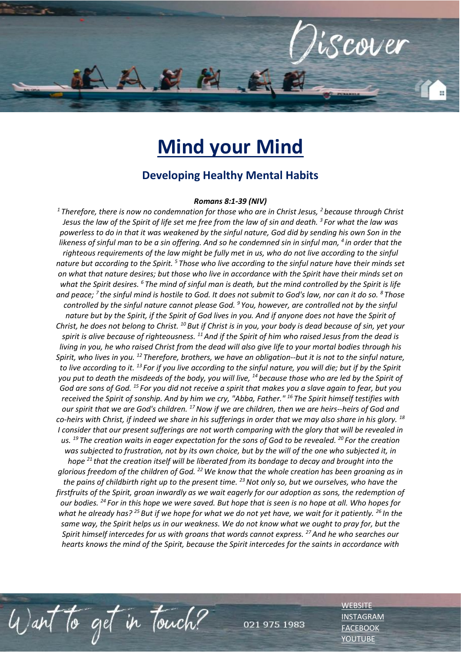

## **Mind your Mind**

## **Developing Healthy Mental Habits**

## *Romans 8:1-39 (NIV)*

*<sup>1</sup>Therefore, there is now no condemnation for those who are in Christ Jesus, <sup>2</sup>because through Christ Jesus the law of the Spirit of life set me free from the law of sin and death. <sup>3</sup>For what the law was powerless to do in that it was weakened by the sinful nature, God did by sending his own Son in the likeness of sinful man to be a sin offering. And so he condemned sin in sinful man, <sup>4</sup>in order that the righteous requirements of the law might be fully met in us, who do not live according to the sinful nature but according to the Spirit. <sup>5</sup>Those who live according to the sinful nature have their minds set on what that nature desires; but those who live in accordance with the Spirit have their minds set on what the Spirit desires. <sup>6</sup>The mind of sinful man is death, but the mind controlled by the Spirit is life and peace; <sup>7</sup>the sinful mind is hostile to God. It does not submit to God's law, nor can it do so. <sup>8</sup>Those controlled by the sinful nature cannot please God. <sup>9</sup>You, however, are controlled not by the sinful nature but by the Spirit, if the Spirit of God lives in you. And if anyone does not have the Spirit of Christ, he does not belong to Christ. <sup>10</sup>But if Christ is in you, your body is dead because of sin, yet your spirit is alive because of righteousness. <sup>11</sup>And if the Spirit of him who raised Jesus from the dead is living in you, he who raised Christ from the dead will also give life to your mortal bodies through his Spirit, who lives in you. <sup>12</sup>Therefore, brothers, we have an obligation--but it is not to the sinful nature, to live according to it. <sup>13</sup>For if you live according to the sinful nature, you will die; but if by the Spirit you put to death the misdeeds of the body, you will live, <sup>14</sup>because those who are led by the Spirit of God are sons of God. <sup>15</sup>For you did not receive a spirit that makes you a slave again to fear, but you received the Spirit of sonship. And by him we cry, "Abba, Father." <sup>16</sup>The Spirit himself testifies with our spirit that we are God's children. <sup>17</sup>Now if we are children, then we are heirs--heirs of God and co-heirs with Christ, if indeed we share in his sufferings in order that we may also share in his glory. <sup>18</sup> I consider that our present sufferings are not worth comparing with the glory that will be revealed in us. <sup>19</sup>The creation waits in eager expectation for the sons of God to be revealed. <sup>20</sup>For the creation was subjected to frustration, not by its own choice, but by the will of the one who subjected it, in hope <sup>21</sup>that the creation itself will be liberated from its bondage to decay and brought into the glorious freedom of the children of God. <sup>22</sup>We know that the whole creation has been groaning as in the pains of childbirth right up to the present time. <sup>23</sup>Not only so, but we ourselves, who have the firstfruits of the Spirit, groan inwardly as we wait eagerly for our adoption as sons, the redemption of our bodies. <sup>24</sup>For in this hope we were saved. But hope that is seen is no hope at all. Who hopes for what he already has? <sup>25</sup>But if we hope for what we do not yet have, we wait for it patiently. <sup>26</sup>In the same way, the Spirit helps us in our weakness. We do not know what we ought to pray for, but the Spirit himself intercedes for us with groans that words cannot express. <sup>27</sup>And he who searches our hearts knows the mind of the Spirit, because the Spirit intercedes for the saints in accordance with* 

Want to get in touch?

975 1983

021

**[WEBSITE](http://www.escc.co.za/)** [INSTAGRAM](https://www.instagram.com/esccdurbanville/) [FACEBOOK](https://www.facebook.com/escc.za) [YOUTUBE](https://www.youtube.com/c/ESCCDurbanvilleV)